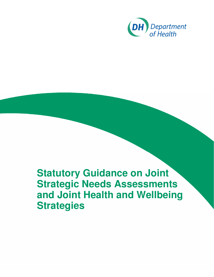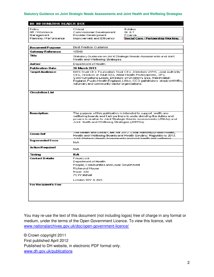| <b>DH INFORMATION READER BOX</b>     |                                                                                                                                                                                                                                                                                                                                    |                                                                                                                                                                                                                              |  |
|--------------------------------------|------------------------------------------------------------------------------------------------------------------------------------------------------------------------------------------------------------------------------------------------------------------------------------------------------------------------------------|------------------------------------------------------------------------------------------------------------------------------------------------------------------------------------------------------------------------------|--|
| Policy                               | Clinical                                                                                                                                                                                                                                                                                                                           | Estates                                                                                                                                                                                                                      |  |
| HR / Workforce                       | Commissioner Development                                                                                                                                                                                                                                                                                                           | $IN = 3T$                                                                                                                                                                                                                    |  |
| Maragement<br>Planning / Performance | Provider Development<br>Improvement and Efficency                                                                                                                                                                                                                                                                                  | Finance<br>Social Care / Partnership Working                                                                                                                                                                                 |  |
|                                      |                                                                                                                                                                                                                                                                                                                                    |                                                                                                                                                                                                                              |  |
| <b>Document Purpose</b>              | <b>Best Practice Guidance</b>                                                                                                                                                                                                                                                                                                      |                                                                                                                                                                                                                              |  |
| Gateway Reference                    | 18840                                                                                                                                                                                                                                                                                                                              |                                                                                                                                                                                                                              |  |
| Title:                               | Statulory Guidance on Joint Stralegic Needs Assessments and Joint<br>Health and Wellbeing Strateges.                                                                                                                                                                                                                               |                                                                                                                                                                                                                              |  |
| <b>Author</b>                        | Department of Health                                                                                                                                                                                                                                                                                                               |                                                                                                                                                                                                                              |  |
| <b>Publication Date</b>              | <b>26 March 2013</b>                                                                                                                                                                                                                                                                                                               |                                                                                                                                                                                                                              |  |
| Target Audience                      | NHS Trust CE's Foundation Trust CE's , Directors of PH, Local Authority<br>CEs, Directors of Adult SSs, Allied Health Professionals, GPs,<br>Communications Leads, Directors of Children's SSs, Healthwatch<br>England, Public Health England, LINks, CCG pathfinders, shadowHWBs,<br>volumery and community sector organisations. |                                                                                                                                                                                                                              |  |
| <b>Circulation List</b>              |                                                                                                                                                                                                                                                                                                                                    |                                                                                                                                                                                                                              |  |
| Description                          | The purpose of this publication is intended to support nealth and<br>Joint Health and Wellbeing Strategies (JHWSs).                                                                                                                                                                                                                | wellbeing boards and their partners in understanding the duties and $\,$<br>powers in relation to Joint Strategic Needs Assessments (JSNAs) and                                                                              |  |
| Onss Ref                             |                                                                                                                                                                                                                                                                                                                                    | <u>The Heath and Social Cale Act 2012. Local Authority (Public Health, </u><br>Health and Wellbeing Boards and Health Scrutiny) Regulations 2013.<br><u>Loid Stratecic Needs Assessments and joint baalth and wellbeing.</u> |  |
| <b>Superseded Docs</b>               | N.A.                                                                                                                                                                                                                                                                                                                               |                                                                                                                                                                                                                              |  |
| Action Required                      | NIA.                                                                                                                                                                                                                                                                                                                               |                                                                                                                                                                                                                              |  |
| Timing                               | <b>NA</b>                                                                                                                                                                                                                                                                                                                          |                                                                                                                                                                                                                              |  |
| <b>Contact Details</b>               | Freya Lock<br>Department of Health<br>People, Communities and Local Government<br>Richmond House<br>Boort 331<br>75 Whitehall                                                                                                                                                                                                      |                                                                                                                                                                                                                              |  |
|                                      | Lendon SWY A 2NS                                                                                                                                                                                                                                                                                                                   |                                                                                                                                                                                                                              |  |
| <b>For Recipient's Use</b>           |                                                                                                                                                                                                                                                                                                                                    |                                                                                                                                                                                                                              |  |

You may re-use the text of this document (not including logos) free of charge in any format or medium, under the terms of the Open Government Licence. To view this licence, visit www.nationalarchives.gov.uk/doc/open-government-licence/

© Crown copyright 2011 First published April 2012 Published to DH website, in electronic PDF format only. www.dh.gov.uk/publications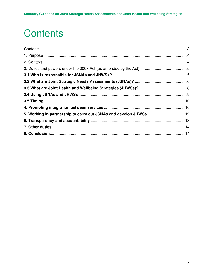# **Contents**

| 5. Working in partnership to carry out JSNAs and develop JHWSs 12 |  |
|-------------------------------------------------------------------|--|
|                                                                   |  |
|                                                                   |  |
|                                                                   |  |
|                                                                   |  |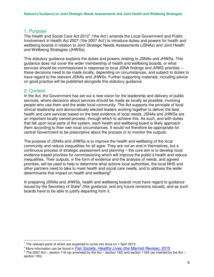## 1. Purpose

The Health and Social Care Act 2012<sup>1</sup> ('the Act') amends the Local Government and Public Involvement in Health Act 2007 ('the 2007 Act') to introduce duties and powers for health and wellbeing boards in relation to Joint Strategic Needs Assessments (JSNAs) and Joint Health and Wellbeing Strategies (JHWSs).

This statutory guidance explains the duties and powers relating to JSNAs and JHWSs. This guidance does not cover the wider membership of health and wellbeing boards, or what services should be commissioned in response to local JSNA findings and JHWS priorities – these decisions need to be made locally, depending on circumstances, and subject to duties to have regard to the relevant JSNAs and JHWSs. Further supporting materials, including advice on good practice will be published alongside this statutory guidance.

# 2. Context

In the Act, the Government has set out a new vision for the leadership and delivery of public services, where decisions about services should be made as locally as possible, involving people who use them and the wider local community. The Act supports the principle of local clinical leadership and democratically elected leaders working together to deliver the best health and care services based on the best evidence of local needs. JSNAs and JHWSs are an important locally owned process, through which to achieve this. As such, and with duties that fall upon local parts of the system, each health and wellbeing board is likely approach them according to their own local circumstances. It would not therefore be appropriate for central Government to be prescriptive about the process or to monitor the outputs.

The purpose of JSNAs and JHWSs is to improve the health and wellbeing of the local community and reduce inequalities for all ages. They are not an end in themselves, but a continuous process of strategic assessment and planning – the core aim is to develop local evidence-based priorities for commissioning which will improve the public's health and reduce inequalities. Their outputs, in the form of evidence and the analysis of needs, and agreed priorities, will be used to help to determine what actions local authorities, the local NHS and other partners need to take to meet health and social care needs, and to address the wider determinants that impact on health and wellbeing<sup>2</sup>.

In preparing JSNAs and JHWSs, health and wellbeing boards must have regard to guidance issued by the Secretary of State<sup>3</sup> (this guidance, and any future revisions issued), and as such boards have to be able to justify departing from it.

 $\overline{1}$ <sup>1</sup> The relevant parts of which are expected to come into force on 1 April 2013.

<sup>&</sup>lt;sup>2</sup> More information can be found in *Fair Society, Healthy Lives (the Marmot Review)*, 2010

 $3$  The 2007 Act – section 116 (as amended by the Act – section 192) and section 116A (as inserted by the Act – section 193).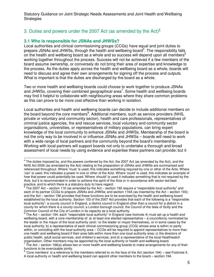# 3. Duties and powers under the 2007 Act (as amended by the Act) $4$

## **3.1 Who is responsible for JSNAs and JHWSs?**

Local authorities and clinical commissioning groups (CCGs) have equal and joint duties to prepare JSNAs and JHWSs, through the health and wellbeing board<sup>5</sup>. The responsibility falls on the health and wellbeing board as a whole and so success will depend upon all members<sup>6</sup> working together throughout the process. Success will not be achieved if a few members of the board assume ownership, or conversely do not bring their area of expertise and knowledge to the process. As the duties apply across the health and wellbeing board as a whole, boards will need to discuss and agree their own arrangements for signing off the process and outputs. What is important is that the duties are discharged by the board as a whole.

Two or more health and wellbeing boards could choose to work together to produce JSNAs and JHWSs, covering their combined geographical area<sup>7</sup>. Some health and wellbeing boards may find it helpful to collaborate with neighbouring areas where they share common problems as this can prove to be more cost effective than working in isolation.

Local authorities and health and wellbeing boards can decide to include additional members on the board beyond the core members<sup>8</sup>. Additional members, such as service providers (NHS, private or voluntary and community sector), health and care professionals, representatives of criminal justice agencies, fire and rescue services, local voluntary and community sector organisations, universities, or representatives of military populations, can bring expert knowledge of the local community to enhance JSNAs and JHWSs. Membership of the board is not the only way to be involved in or influence JSNAs and JHWSs – boards will need to work with a wide range of local partners and the community beyond the board's membership. Working with local partners will support boards not only to undertake a thorough and broad assessment of local needs by using evidence and expertise these partners can provide; but it

 $\frac{1}{2}$  $<sup>4</sup>$  The duties imposed by, and the powers conferred by the Act, the 2007 Act (as amended by the Act), and the</sup> NHS Act 2006 (as amended by the Act) relating to the preparation of JSNAs and JHWSs are summarised and referenced throughout. Where 'must' is used, this indicates something required by one or other of the Acts. Where 'can' is used, this indicates a power in one or other of the Acts. Where 'could' is used, this indicates an example of how that power could potentially be used. Where 'should' is used it indicates something that is not required by the Acts, but it is recommended in order to achieve the spirit of the Acts or in accordance with sector-led best practice, and to which there is a statutory duty to have regard.

<sup>5</sup> The 2007 Act – section 116 (as amended by the Act – section 192 require a "responsible local authority" and each of its partner CCGs to prepare JSNAs and JHWSs; and section 116A (as inserted by the Act – section 193); and the Act – section 196 provides that these functions are to be exercised by the health and wellbeing board established by the local authority. Section 103 of the 2007 Act provides that each of the following is a "responsible local authority": a county council in England, a district council in England other than a council for a district in a county for which there is a county council; a London borough council, the Council of the Isles of Scilly and the Common Council of the City of London in its capacity as a local authority.

<sup>6</sup> The Act – section 194: each "responsible local authority" in England (see footnote 4) must set up a health and wellbeing board, with a core membership of: a) at least one elected representative – a councillor(s) nominated by the leader or the mayor of the local authority (and / or the leader or mayor themselves), or in some cases by the local authority; b) a representative of each clinical commissioning group (CCG) whose area is within or partly within, or coinciding with the local authority area – CCGs will be required to appoint representatives to more than one health and wellbeing board if their area falls within more than one local authority area; c) the directors of public health, adult social services, and children's services; and d) a representative of the local Healthwatch organisation. Other members may be appointed by the local authority or health and wellbeing board.

 $7$  The Act – section 198(a) allows two or more health and wellbeing boards to make arrangements for any of their functions to be exercisable jointly.

 $8$  'Core members' is a reference to the members referred to on the face of the Act (section 194) – see Footnote 5. A local authority or health and wellbeing board can appoint other members to the board – section 194.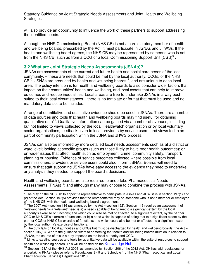will also provide an opportunity to influence the work of these partners to support addressing the identified needs.

Although the NHS Commissioning Board (NHS CB) is not a core statutory member of health and wellbeing boards, prescribed by the Act, it must participate in JSNAs and JHWSs. If the health and wellbeing board agrees, the NHS CB may be represented by someone who is not from the NHS CB; such as from a CCG or a local Commissioning Support Unit  $(CSU)^9$ .

#### **3.2 What are Joint Strategic Needs Assessments (JSNAs)?**

JSNAs are assessments of the current and future health and social care needs of the local community. – these are needs that could be met by the local authority, CCGs, or the NHS  $CB<sup>10</sup>$ . JSNAs are produced by health and wellbeing boards<sup>11</sup>, and are unique to each local area. The policy intention is for health and wellbeing boards to also consider wider factors that impact on their communities' health and wellbeing, and local assets that can help to improve outcomes and reduce inequalities. Local areas are free to undertake JSNAs in a way best suited to their local circumstances – there is no template or format that must be used and no mandatory data set to be included.

A range of quantitative and qualitative evidence should be used in JSNAs. There are a number of data sources and tools that health and wellbeing boards may find useful for obtaining quantitative data<sup>12</sup>. Qualitative information can be gained via a number of avenues, including but not limited to views collected by the local Healthwatch organisation or by local voluntary sector organisations, feedback given to local providers by service users; and views fed in as part of community participation within the JSNA and JHWS process.

JSNAs can also be informed by more detailed local needs assessments such as at a district or ward level; looking at specific groups (such as those likely to have poor health outcomes); or on wider issues that affect health such as employment, crime, community safety, transport, planning or housing. Evidence of service outcomes collected where possible from local commissioners, providers or service users could also inform JSNAs. Boards will need to ensure that staff supporting JSNAs have easy access to the evidence they need to undertake any analysis they needed to support the board's decisions.

Health and wellbeing boards are also required to undertake Pharmaceutical Needs Assessments  $(PNAs)^{13}$ ; and although many may choose to combine the process with JSNAs,

 9 The duty on the NHS CB to appoint a representative to participate in JSNAs and JHWSs is in section 197(1) and (2) of the Act. Section 197(5) provides that the representative may be someone who is not a member or employee of the NHS CB, with the health and wellbeing board's agreement.

The 2007 Act – section 116 (as amended by the Act – section 192). Section 116 requires an assessment of "relevant needs" – a "relevant" need is a) a need capable of being met to a significant extent by the local authority's exercise of functions; and which could also be met or affected, to a significant extent, by the partner CCG or NHS CB's exercise of functions; or b) a need which is capable of being met to a significant extent by the partner CCG or NHS CB's exercise of functions; and which could also be met or affected, to a significant extent by the local authority's exercise of functions.

The duty falls on local authorities and CCGs but must be discharged by health and wellbeing boards (the Act – section 196(1)). Where the guidance refers to something that health and wellbeing boards must do in relation to JSNAs, the source of this is a duty imposed on the local authority and CCG.

 $12$  Links to existing sources and tools for quantitative data will be available within the suite of resources to support health and wellbeing boards. This will be hosted on the **Knowledge Hub**.

<sup>13</sup> Section 128A of the NHS Act 2006, as amended by Section 206 of the 2012 Act. DH has laid regulations for undertaking PNAs - please refer to Regulations 3 - 9 and Schedule 1 of the NHS (Pharmaceutical and Local Pharmaceutical Services) Regulations 2013.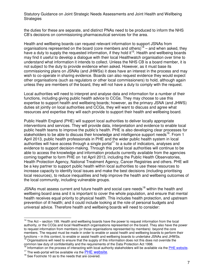the duties for these are separate, and distinct PNAs need to be produced to inform the NHS CB's decisions on commissioning pharmaceutical services for the area.

Health and wellbeing boards can request relevant information to support JSNAs from organisations represented on the board (core members and others)<sup>14</sup> – and when asked, they have a duty to supply the requested information, if they hold it<sup>15</sup>. Health and wellbeing boards may find it useful to develop a dialogue with their local Healthwatch organisation over time to understand what information it intends to collect. Unless the NHS CB is a board member, it is not subject to the duty to provide evidence when asked. However, as it must base its commissioning plans on JSNAs (and JHWSs) it does have an interest in the process and may wish to co-operate in sharing evidence. Boards can also request evidence they would expect other organisations (such as regulators or other local commissioners) to hold, although again unless they are members of the board, they will not have a duty to comply with the request.

Local authorities will need to interpret and analyse data and information for a number of their functions, including giving public health advice to CCGs. They may choose to use this expertise to support health and wellbeing boards; however, as the primary JSNA (and JHWS) duties sit jointly on local authorities and CCGs, they will want to discuss and agree what resources and expertise they will each provide to support their health and wellbeing board.

Public Health England (PHE) will support local authorities to deliver locally appropriate interventions and services. They will provide data, interpretation and evidence to enable local public health teams to improve the public's health. PHE is also developing clear processes for stakeholders to be able to discuss their knowledge and intelligence support needs<sup>16</sup>. From 1 April 2013, public health professionals in PHE and the wider public health system in local authorities will have access through a single portal<sup>17</sup> to a suite of indicators, analyses and evidence to support decision-making. Through this portal local authorities will continue to be able to access the knowledge and information products currently available from the agencies coming together to form PHE on 1st April 2013, including the Public Health Observatories, Health Protection Agency, National Treatment Agency, Cancer Registries and others. PHE will be a key partner to support public health within local authorities to use these resources to increase capacity to identify local issues and make the best decisions (including prioritising local resources), to reduce inequalities and help improve the health and wellbeing outcomes of the local community, including vulnerable groups.

JSNAs must assess current and future health and social care needs<sup>18</sup> within the health and wellbeing board area and it is important to cover the whole population, and ensure that mental health receives equal priority to physical health. This includes health protection, and upstream prevention of ill health; and it could include looking at the role of personal budgets and universal advice. Therefore health and wellbeing boards will need to consider:

 $\overline{a}$ 

 $14$  The Act – section 199. Health and wellbeing boards have the power to request information from the local authority, or the CCGs and local Healthwatch organisations represented on the board. They also have the power to request information from members (or those organisations represented by members) beyond the core members. The request must be made in order to enable or assist health and wellbeing boards to perform their functions – in this context, to enable or assist health and wellbeing boards to undertake JSNAs and JHWSs. Organisations will need to ensure that the supply of this information does not this does not override the

common law duty of confidentiality and the requirements of the Data Protection Act 1998.

 $16$  Information on the process of interacting with local authority stakeholders will be available via the PHE website.

 $17$  The web-portal will be available via the  $PHE$  website.

 $18$  See Footnote 10 as to the needs that are covered.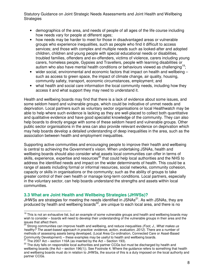- demographics of the area, and needs of people of all ages of the life course including how needs vary for people at different ages;
- how needs may be harder to meet for those in disadvantaged areas or vulnerable groups who experience inequalities, such as people who find it difficult to access services; and those with complex and multiple needs such as looked-after and adopted children, children and young people with special educational needs or disabilities, troubled families, offenders and ex-offenders, victims of violence, carers including young carers, homeless people, Gypsies and Travellers, people with learning disabilities or autism who also have mental health conditions or behaviours viewed as challenging<sup>19</sup>;
- wider social, environmental and economic factors that impact on health and wellbeing  $$ such as access to green space, the impact of climate change, air quality, housing, community safety, transport, economic circumstances, employment; and
- what health and social care information the local community needs, including how they access it and what support they may need to understand it.

Health and wellbeing boards may find that there is a lack of evidence about some issues, and some seldom heard and vulnerable groups, which could be indicative of unmet needs and deprivation. Local partners such as voluntary sector organisations or local Healthwatch may be able to help where such evidence is lacking as they are well-placed to collect both quantitative and qualitative evidence and have good specialist knowledge of the community. They can also help boards to directly engage with some of these seldom heard and vulnerable groups. Other public sector organisations in the area can also provide relevant evidence on deprivation which may help boards develop a detailed understanding of deep inequalities in the area, such as the association between health and employment inequalities.

Supporting active communities and encouraging people to improve their health and wellbeing is central to achieving the Government's vision. When undertaking JSNAs, health and wellbeing boards should also consider what assets local communities can offer in terms of skills, experience, expertise and resources<sup>20</sup> that could help local authorities and the NHS to address the identified needs and impact on the wider determinants of health. This could be a range of assets including formal or informal resources, social networks, community cohesion, capacity or skills in organisations or the community; such as the ability of groups to take greater control of their own health or manage long-term conditions. Local partners, especially in the voluntary sector, can help boards understand the strengths and assets within local communities.

# **3.3 What are Joint Health and Wellbeing Strategies (JHWSs)?**

JHWSs are strategies for meeting the needs identified in JSNAs<sup>21</sup>. As with JSNAs, they are produced by health and wellbeing boards<sup>22</sup>, are unique to each local area, and there is no

 $\overline{a}$ <sup>19</sup> This is not an exhaustive list, but an example of some vulnerable groups and health and wellbeing boards may wish to consider – boards will need to develop their understanding of the vulnerable groups in their area and the issues that affect them.

 $20$  Strong communities can improve health and wellbeing, and reduce inequalities (Foot, J., What makes us healthy? The asset-based approach in practice: evidence, action, evaluation, 2012). There are a number of methods of assessing assets being developed, (Local Area Co-ordination, Connected Care or Asset-Based Community Development) – these examples may be useful to health and wellbeing boards.

The 2007 Act – section 116A (as inserted by the Act – Section 193).

<sup>&</sup>lt;sup>22</sup> The duty falls on responsible local authorities and partner CCGs but must be discharged by health and wellbeing boards (the Act – section 196(1)). See Footnote 4. Where the guidance refers to something that health and wellbeing boards must do in relation to JHWSs, the source of this is a duty imposed on the local authority and partner CCGs.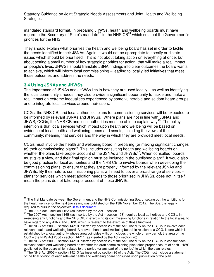mandated standard format. In preparing JHWSs, health and wellbeing boards must have regard to the Secretary of State's mandate<sup>23</sup> to the NHS  $CB<sup>24</sup>$  which sets out the Government's priorities for the NHS.

They should explain what priorities the health and wellbeing board has set in order to tackle the needs identified in their JSNAs. Again, it would not be appropriate to specify or dictate issues which should be prioritised. This is not about taking action on everything at once, but about setting a small number of key strategic priorities for action, that will make a real impact on people's lives. JHWSs should translate JSNA findings into clear outcomes the board wants to achieve, which will inform local commissioning – leading to locally led initiatives that meet those outcomes and address the needs.

#### **3.4 Using JSNAs and JHWSs**

The importance of JSNAs and JHWSs lies in how they are used locally – as well as identifying the local community's needs, they also provide a significant opportunity to tackle and make a real impact on extreme inequalities experienced by some vulnerable and seldom heard groups, and to integrate local services around their users.

CCGs, the NHS CB, and local authorities' plans for commissioning services will be expected to be informed by relevant JSNAs and JHWSs. Where plans are not in line with JSNAs and JHWS, CCGs, the NHS CB and local authorities must be able to explain why<sup>25</sup>. The policy intention is that local services which impact upon health and wellbeing will be based on evidence of local health and wellbeing needs and assets, including the views of the community; meaning that services and the way in which they are provided meet local needs.

CCGs must involve the health and wellbeing board in preparing (or making significant changes to) their commissioning plans<sup>26</sup>. This includes consulting health and wellbeing boards on whether the plans take proper account of the JSNAs and JHWS $s^{27}$ . When consulted, boards must give a view, and their final opinion must be included in the published plan<sup>28</sup>. It would also be good practice for local authorities and the NHS CB to involve boards when developing their commissioning plans, to ensure that they are properly informed by the relevant JSNAs and JHWSs. By their nature, commissioning plans will need to cover a broad range of services – plans for services which meet addition needs to those prioritised in JHWSs, does not in itself mean the plans do not take proper account of those JHWSs.

 $\frac{1}{2}$ <sup>23</sup> The first Mandate between the Government and the NHS Commissioning Board, setting out the ambitions for the health service for the next two years, was published on the 13th November 2012. The Board is legally required to pursue the objectives in this document.

The 2007 Act – section 116A (as inserted by the Act – section 193).

<sup>&</sup>lt;sup>25</sup> The 2007 Act – section 116B (as inserted by the Act – section 193) requires local authorities and CCGs, in exercising any functions and the NHS CB, in exercising its commissioning functions in relation to the local area, to have regard to any JSNA and JHWS which is relevant to the exercise of those functions.

 $26$  The NHS Act 2006 – section 14Z13 inserted by section 26 of the Act. The duty on the CCG is to involve each relevant health and wellbeing board. A relevant health and wellbeing board, in relation to a CCG, is one which is established by a local authority whose area coincides with, or includes the whole or any part of, the area of the CCG – the NHS Act 2006 - section 14Z11 (as inserted by the Act - section 26).

The NHS Act 2006 – section 14Z13 inserted by section 26 of the Act. The duty on the CCG is to consult each relevant health and wellbeing board on whether the draft commissioning plan takes proper account of each JHWS published by the board which relates to the period (or any part of the period) to which the plan relates.

The NHS Act 2006 – section 14Z13 (as inserted by section 26 of the Act). The CCG must include a statement of the final opinion of each relevant health and wellbeing board consulted upon publication of the plan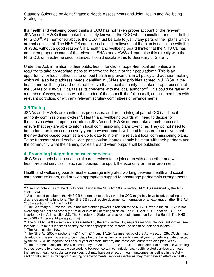If a health and wellbeing board thinks a CCG has not taken proper account of the relevant JSNAs and JHWSs it can make this clearly known to the CCG when consulted, and also to the NHS  $CB^{29}$ . As mentioned above, the CCG must be able to justify any parts of their plans which are not consistent. The NHS CB can take action if it believes that the plan is not in line with the JHWSs, without a good reason<sup>30</sup>. If a health and wellbeing board thinks that the NHS CB has not taken proper account of the relevant JSNAs and JHWSs, it can raise this directly with the NHS CB, or in extreme circumstances it could escalate this to Secretary of State $31$ .

Under the Act, in relation to their public health functions, upper-tier local authorities are required to take appropriate steps to improve the health of their population<sup>32</sup>. This is an opportunity for local authorities to embed health improvement in all policy and decision-making, which will also help address needs identified in JSNAs and priorities agreed in JHWSs. If the health and wellbeing board does not believe that a local authority has taken proper account of the JSNAs or JHWSs, it can raise its concerns with the local authority<sup>33</sup>. This could be raised in a number of ways, such as with the leader of the council, the full council, council members with relevant portfolios, or with any relevant scrutiny committees or arrangements.

#### **3.5 Timing**

 $\frac{1}{2}$ 

JSNAs and JHWSs are continuous processes, and are an integral part of CCG and local authority commissioning cycles  $34$ . Health and wellbeing boards will need to decide for themselves when to update or refresh JSNAs and JHWSs or undertake a fresh process to ensure that they are able to inform local commissioning plans over time. They do not need to be undertaken from scratch every year; however boards will need to assure themselves that their evidence-based priorities are up to date to inform the relevant local commissioning plans. To be transparent and enable wide participation, boards should be clear with their partners and the community what their timing cycles are and when outputs will be published.

#### **4. Promoting integration between services**

JHWSs can help health and social care services to be joined up with each other and with health-related services<sup>35</sup>, such as housing, transport, the economy or the environment.

Health and wellbeing boards must encourage integrated working between health and social care commissioners, and provide appropriate support to encourage partnership arrangements

 $^{29}$  See Footnote 26 as to the duty to consult under the NHS Act 2006 – section 14Z13 (as inserted by the Act section 26).

Action could be taken if the NHS CB has reason to believe that the CCG might fail, have failed, be failing to discharge any of its functions. The NHS CB could require documents, information or an explanation (the NHS Act 2006 – sections 14Z17 or 14Z19).

<sup>&</sup>lt;sup>31</sup> The Secretary of State for Health has intervention powers in relation to the NHS CB where the NHS CB is not exercising its functions properly or at all or is at risk of failing to do so. The NHS Act 2006 – section 13Z2 (as inserted by the Act - section 23). The Secretary of State can also request information from the Board (The NHS Act 2006 - Schedule 1A paragraph 14).

<sup>32</sup> The NHS Act 2006 – section 2B (as inserted by the Act - section 12) requires responsible local authorities (see footnote 5) to take such steps as they consider appropriate to improve the health of their populations. The Act – section 196.

<sup>&</sup>lt;sup>34</sup> The NHS Act 2006 – sections 14Z11 to 14Z14, and 14Z24 (as inserted by of the Act – section 26). CCGs must develop commissioning plans to be in place before the beginning of each financial year (or before a date directed by the NHS CB as regards the financial year of establishment) and most local authorities also plan yearly.

The 2007 Act – section 116A (as inserted by the 2012 Act – section 193). In the context of health and wellbeing boards' powers to encourage close working between certain commissioners, health-related services are those that are not health or social care services, but may have an effect on health outcomes, as defined in the Act – section 195; such as transport, planning or environmental services insofar as they may have an effect on health.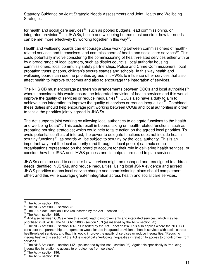for health and social care services<sup>36</sup>, such as pooled budgets, lead commissioning, or integrated provision<sup>37</sup>. In JHWSs, health and wellbeing boards must consider how far needs can be met more effectively by working together in this way<sup>38</sup>.

Health and wellbeing boards can encourage close working between commissioners of healthrelated services and themselves; and commissioners of health and social care services<sup>39</sup>. This could potentially involve considering the commissioning of health-related services either with or by a broad range of local partners, such as district councils, local authority housing commissioners, local community safety partnerships, Police and Crime Commissioners, local probation trusts, prisons, children's secure estates and schools. In this way health and wellbeing boards can use the priorities agreed in JHWSs to influence other services that also affect health to improve outcomes and also to encourage the integration of services.

The NHS CB must encourage partnership arrangements between CCGs and local authorities<sup>40</sup> where it considers this would ensure the integrated provision of health services and this would improve the quality of services or reduce inequalities<sup>41</sup>. CCGs also have a duty to aim to achieve such integration to improve the quality of services or reduce inequalities<sup>42</sup>. Combined, these duties should help encourage joint working between CCGs and local authorities in order to tackle the priorities jointly agreed in JHWSs.

The Act supports joint working by allowing local authorities to delegate functions to the health and wellbeing board<sup>43</sup>. This could result in boards taking on health-related functions, such as preparing housing strategies; which could help to take action on the agreed local priorities. To avoid potential conflicts of interest, the power to delegate functions does not include health scrutiny functions<sup>44</sup>, as boards will be subject to scrutiny by the local authority. This is an important way that the local authority (and through it, local people) can hold some organisations represented on the board to account for their role in delivering health services, or consider how the JSNA and JHWS process and its outputs are used to plan services.

JHWSs could be used to consider how services might be reshaped and redesigned to address needs identified in JSNAs, and reduce inequalities. Using local JSNA evidence and agreed JHWS priorities means local service change and commissioning plans should complement other; and this will encourage greater integration across health and social care services.

 $\frac{1}{2}$  $^{36}_{-}$  The Act – section 195.

 $37$  The NHS Act 2006 – section 75.

 $38$  The 2007 Act – section 116A (as inserted by the Act – section 193).

 $39$  The Act – section 195.

<sup>&</sup>lt;sup>40</sup> And also between CCGs where this would lead to improvements and integrated services, which may be prioritised in JHWSs. The NHS Act 2006 - section 13N (as inserted by the Act – section 23).

The NHS Act 2006 – section 13N (as inserted by the Act – section 23). This also applies where the NHS CB considers that partnership arrangements would lead to integrated provision of health services with social care or health-related services, and that this would improve the quality of services or reduce inequalities. "Reducing inequalities" in this section of the Act is specifically "reducing inequalities in relation to access to or outcomes from services".

 $42$  The NHS Act 2006 – section 14Z1 (as inserted by the Act – section 26). Again this specifically is "reducing inequalities in relation to access to or outcomes from services".

 $43$  The Act – section 196.

<sup>&</sup>lt;sup>44</sup> The Act – section 196.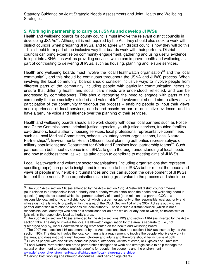#### **5. Working in partnership to carry out JSNAs and develop JHWSs**

Health and wellbeing boards for county councils must involve the relevant district councils in developing JSNAs<sup>45</sup>. Although it is not required by the Act, they should also seek to work with district councils when preparing JHWSs, and to agree with district councils how they will do this – this should form part of the inclusive way that boards work with their partners. District councils can bring expertise on community engagement, gathering and using useful evidence to input into JSNAs; as well as providing services which can improve health and wellbeing as part of contributing to delivering JHWSs, such as housing, planning and leisure services.

Health and wellbeing boards must involve the local Healthwatch organisation<sup>46</sup> and the local community<sup>47</sup>, and this should be continuous throughout the JSNA and JHWS process. When involving the local community, boards should consider inclusive ways to involve people from different parts of the community including people with particular communication needs to ensure that differing health and social care needs are understood, reflected, and can be addressed by commissioners. This should recognise the need to engage with parts of the community that are socially excluded and vulnerable<sup>48</sup>. Involvement should aim to allow active participation of the community throughout the process – enabling people to input their views and experiences of local services, needs and assets as part of qualitative evidence; and to have a genuine voice and influence over the planning of their services.

Health and wellbeing boards should also work closely with other local partners such as Police and Crime Commissioners, criminal justice agencies, youth justice services, troubled families co-ordinators, local authority housing services, local professional representative committees such as Local Medical Committees, schools, voluntary sector organisations, Local Nature Partnerships<sup>49</sup>, Environmental Health Officers, local planning authorities representatives of military populations; and Department for Work and Pensions local partnership teams<sup>50</sup>. Such partners can both input evidence into JSNAs to get a thorough understanding of local needs and how to address them, as well as take action to contribute to meeting aims of JHWSs.

Local Healthwatch and voluntary sector organisations (including organisations that represent specific groups) can provide insight and information to help JSNAs better reflect the needs and views of people in vulnerable circumstances and this can support the development of JHWSs to meet those needs. Such organisations can bring great value to the process and should be

 $\frac{1}{2}$  $45$  The 2007 Act – section 116 (as amended by the Act – section 192). A "relevant district council" means : (a) in relation to a responsible local authority (the authority which established the health and wellbeing board in question), any district council which is a partner authority of it; and (b) in relation to a partner CCG of a responsible local authority, any district council which is a partner authority of the responsible local authority and whose district falls wholly or partly within the area of the CCG. Section 104 of the 2007 Act sets out who are partner authorities in relation to responsible local authority. These include a district council (which is not a responsible local authority) who acts or is established for an area which, or any part of which, coincides with or falls within the responsible local authority's area.

The 2007 Act – section 116 (as amended by the Act – sections 192) and section 116A (as inserted by the Act – section 193). The duty to involve the local Healthwatch organisation for the area is separate to (i.e., not discharged only by) local Healthwatch being represented on the health and wellbeing board.

<sup>&</sup>lt;sup>47</sup> The 2007 Act – section 116 (as amended by the Act – sections 192) and section 116A (as inserted by the Act – section 193). The duty to involve the local community is a requirement to involve the people who live or work in the area, and does not distinguish between children and adults and therefore should be inclusive of both. <sup>48</sup> Such as people with disabilities, homeless people, offenders, victims of crime, or Gypsies and Travellers.

<sup>&</sup>lt;sup>49</sup> Local Nature Partnerships are broad partnerships designed to work at a strategic scale to help manage the natural environment to produce multiple benefits for people, the economy and the environment www.defra.gov.uk/environment/natural/whitepaper/local-nature-partnerships/

 $50$  Serving both working age (through Jobcentres), and pension age clients.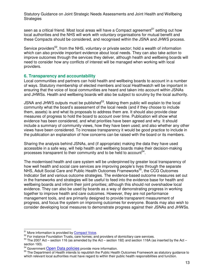seen as a critical friend. Most local areas will have a Compact agreement<sup>51</sup> setting out how local authorities and the NHS will work with voluntary organisations for mutual benefit and these Compacts should be considered, and recognised within the JSNA and JHWS process.

Service providers<sup>52</sup>, from the NHS, voluntary or private sector; hold a wealth of information which can also provide important evidence about local needs. They can also take action to improve outcomes through the services they deliver, although health and wellbeing boards will need to consider how any conflicts of interest will be managed when working with local providers.

#### **6. Transparency and accountability**

Local communities and partners can hold health and wellbeing boards to account in a number of ways. Statutory membership of elected members and local Healthwatch will be important in ensuring that the voice of local communities are heard and taken into account within JSNAs and JHWSs. Health and wellbeing boards will also be subject to scrutiny by the local authority.

JSNA and JHWS outputs must be published<sup>53</sup>. Making them public will explain to the local community what the board's assessment of the local needs (and if they choose to include them, assets) is and what its proposals to address them are. It should also provide clear measures of progress to hold the board to account over time. Publication will show what evidence has been considered, and what priorities have been agreed and why. It should include a summary of community views, how they have been used; and also whether any other views have been considered. To increase transparency it would be good practice to include in the publication an explanation of how concerns can be raised with the board or its members.

Sharing the analysis behind JSNAs, and (if appropriate) making the data they have used accessible in a safe way, will help health and wellbeing boards make their decision-making processes transparent to their community and to be held to account<sup>54</sup>.

The modernised health and care system will be underpinned by greater local transparency of how well health and social care services are improving people's lives through the separate NHS, Adult Social Care and Public Health Outcomes Frameworks<sup>55</sup>, the CCG Outcomes Indicator Set and various outcome strategies. The evidence-based outcome measures set out in the frameworks and strategies will be useful to feed into the evidence base for health and wellbeing boards and inform their joint priorities; although this should not overshadow local evidence. They can also be used by boards as a way of demonstrating progress in working together to improve health and care outcomes. However, they are not performance management tools, and are primarily designed to provide transparent measurement of progress, and focus the system on improving outcomes for everyone. Boards may also wish to consider developing local measures to demonstrate progress against their JSNAs and JHWSs.

 $\overline{a}$ <sup>51</sup> More information is provided by **Compact Voice**.

<sup>&</sup>lt;sup>52</sup> For instance Foundation Trusts, care homes; and providers of domiciliary care services.

<sup>53</sup> The 2007 Act – section 116 (as amended by the Act – section 192) and section 116A (as inserted by the Act – section 193).

<sup>&</sup>lt;sup>54</sup> Government Open Data policies provide more information.

<sup>&</sup>lt;sup>55</sup> The Department of Health intends to republish the Public Health Outcomes Framework as statutory guidance to which relevant local authorities must have regard to within their public health responsibilities and function.